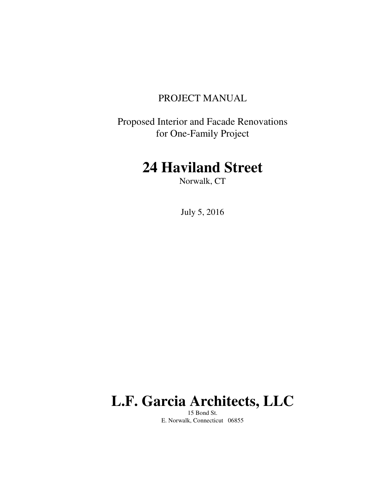## PROJECT MANUAL

Proposed Interior and Facade Renovations for One-Family Project

## **24 Haviland Street**

Norwalk, CT

July 5, 2016

# **L.F. Garcia Architects, LLC**

15 Bond St. E. Norwalk, Connecticut 06855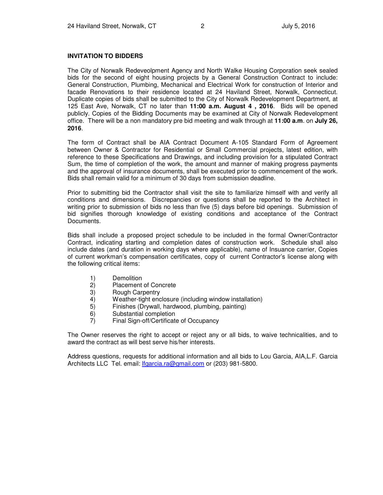#### **INVITATION TO BIDDERS**

The City of Norwalk Redeveolpment Agency and North Walke Housing Corporation seek sealed bids for the second of eight housing projects by a General Construction Contract to include: General Construction, Plumbing, Mechanical and Electrical Work for construction of Interior and facade Renovations to their residence located at 24 Haviland Street, Norwalk, Connecticut. Duplicate copies of bids shall be submitted to the City of Norwalk Redevelopment Department, at 125 East Ave, Norwalk, CT no later than **11:00 a.m. August 4 , 2016**. Bids will be opened publicly. Copies of the Bidding Documents may be examined at City of Norwalk Redevelopment office. There will be a non mandatory pre bid meeting and walk through at **11:00 a.m**. on **July 26, 2016**.

The form of Contract shall be AIA Contract Document A-105 Standard Form of Agreement between Owner & Contractor for Residential or Small Commercial projects, latest edition, with reference to these Specifications and Drawings, and including provision for a stipulated Contract Sum, the time of completion of the work, the amount and manner of making progress payments and the approval of insurance documents, shall be executed prior to commencement of the work. Bids shall remain valid for a minimum of 30 days from submission deadline.

Prior to submitting bid the Contractor shall visit the site to familiarize himself with and verify all conditions and dimensions. Discrepancies or questions shall be reported to the Architect in writing prior to submission of bids no less than five (5) days before bid openings. Submission of bid signifies thorough knowledge of existing conditions and acceptance of the Contract Documents.

Bids shall include a proposed project schedule to be included in the formal Owner/Contractor Contract, indicating starting and completion dates of construction work. Schedule shall also include dates (and duration in working days where applicable), name of Insuance carrier, Copies of current workman's compensation certificates, copy of current Contractor's license along with the following critical items:

- 1) Demolition
- 2) Placement of Concrete
- 3) Rough Carpentry<br>4) Weather-tight enc
- 4) Weather-tight enclosure (including window installation)<br>5) Finishes (Drywall, hardwood, plumbing, painting)
- 5) Finishes (Drywall, hardwood, plumbing, painting)
- 6) Substantial completion
- 7) Final Sign-off/Certificate of Occupancy

The Owner reserves the right to accept or reject any or all bids, to waive technicalities, and to award the contract as will best serve his/her interests.

Address questions, requests for additional information and all bids to Lou Garcia, AIA,L.F. Garcia Architects LLC Tel. email: *lfgarcia.ra@gmail.com or (203) 981-5800.*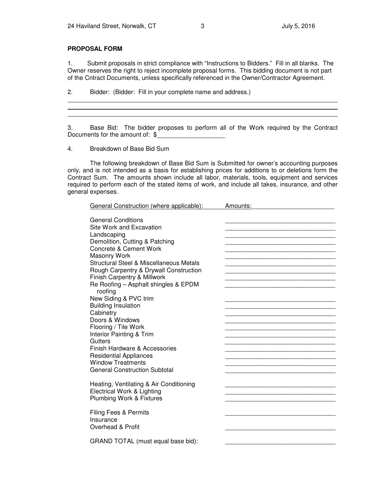#### **PROPOSAL FORM**

1. Submit proposals in strict compliance with "Instructions to Bidders." Fill in all blanks. The Owner reserves the right to reject incomplete proposal forms. This bidding document is not part of the Cntract Documents, unless specifically referenced in the Owner/Contractor Agreement.

2. Bidder: (Bidder: Fill in your complete name and address.)

3. Base Bid: The bidder proposes to perform all of the Work required by the Contract Documents for the amount of: \$

4. Breakdown of Base Bid Sum

 The following breakdown of Base Bid Sum is Submitted for owner's accounting purposes only, and is not intended as a basis for establishing prices for additions to or deletions form the Contract Sum. The amounts shown include all labor, materials, tools, equipment and services required to perform each of the stated items of work, and include all takes, insurance, and other general expenses.

| General Construction (where applicable):                                                                                                                                                                                                                                                                                                                                                                                                                                                                                                                                                                                   | Amounts: |
|----------------------------------------------------------------------------------------------------------------------------------------------------------------------------------------------------------------------------------------------------------------------------------------------------------------------------------------------------------------------------------------------------------------------------------------------------------------------------------------------------------------------------------------------------------------------------------------------------------------------------|----------|
| <b>General Conditions</b><br>Site Work and Excavation<br>Landscaping<br>Demolition, Cutting & Patching<br>Concrete & Cement Work<br><b>Masonry Work</b><br>Structural Steel & Miscellaneous Metals<br>Rough Carpentry & Drywall Construction<br>Finish Carpentry & Millwork<br>Re Roofing - Asphalt shingles & EPDM<br>roofing<br>New Siding & PVC trim<br><b>Building Insulation</b><br>Cabinetry<br>Doors & Windows<br>Flooring / Tile Work<br>Interior Painting & Trim<br>Gutters<br>Finish Hardware & Accessories<br><b>Residential Appliances</b><br><b>Window Treatments</b><br><b>General Construction Subtotal</b> |          |
|                                                                                                                                                                                                                                                                                                                                                                                                                                                                                                                                                                                                                            |          |
| Heating, Ventilating & Air Conditioning<br>Electrical Work & Lighting<br>Plumbing Work & Fixtures                                                                                                                                                                                                                                                                                                                                                                                                                                                                                                                          |          |
| <b>Filing Fees &amp; Permits</b><br>Insurance<br>Overhead & Profit                                                                                                                                                                                                                                                                                                                                                                                                                                                                                                                                                         |          |
| GRAND TOTAL (must equal base bid):                                                                                                                                                                                                                                                                                                                                                                                                                                                                                                                                                                                         |          |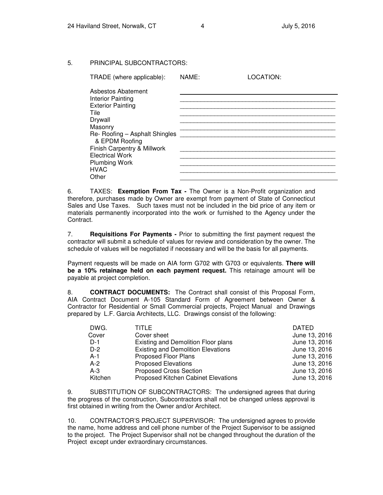#### 5. PRINCIPAL SUBCONTRACTORS:

| TRADE (where applicable):                        | NAME: | LOCATION: |
|--------------------------------------------------|-------|-----------|
| Asbestos Abatement                               |       |           |
| Interior Painting                                |       |           |
| <b>Exterior Painting</b>                         |       |           |
| <b>Tile</b>                                      |       |           |
| Drywall                                          |       |           |
| Masonry                                          |       |           |
| Re- Roofing - Asphalt Shingles<br>& EPDM Roofing |       |           |
| Finish Carpentry & Millwork                      |       |           |
| <b>Electrical Work</b>                           |       |           |
| Plumbing Work                                    |       |           |
| <b>HVAC</b>                                      |       |           |
| Other                                            |       |           |

6. TAXES: **Exemption From Tax -** The Owner is a Non-Profit organization and therefore, purchases made by Owner are exempt from payment of State of Connecticut Sales and Use Taxes. Such taxes must not be included in the bid price of any item or materials permanently incorporated into the work or furnished to the Agency under the Contract.

7. **Requisitions For Payments -** Prior to submitting the first payment request the contractor will submit a schedule of values for review and consideration by the owner. The schedule of values will be negotiated if necessary and will be the basis for all payments.

Payment requests will be made on AIA form G702 with G703 or equivalents. **There will be a 10% retainage held on each payment request.** This retainage amount will be payable at project completion.

8. **CONTRACT DOCUMENTS:** The Contract shall consist of this Proposal Form, AIA Contract Document A-105 Standard Form of Agreement between Owner & Contractor for Residential or Small Commercial projects, Project Manual and Drawings prepared by L.F. Garcia Architects, LLC. Drawings consist of the following:

| DWG.    | TITLE                                     | <b>DATED</b>  |
|---------|-------------------------------------------|---------------|
| Cover   | Cover sheet                               | June 13, 2016 |
| $D-1$   | Existing and Demolition Floor plans       | June 13, 2016 |
| $D-2$   | <b>Existing and Demolition Elevations</b> | June 13, 2016 |
| $A-1$   | Proposed Floor Plans                      | June 13, 2016 |
| $A-2$   | <b>Proposed Elevations</b>                | June 13, 2016 |
| $A-3$   | <b>Proposed Cross Section</b>             | June 13, 2016 |
| Kitchen | Proposed Kitchen Cabinet Elevations       | June 13, 2016 |
|         |                                           |               |

9. SUBSTITUTION OF SUBCONTRACTORS: The undersigned agrees that during the progress of the construction, Subcontractors shall not be changed unless approval is first obtained in writing from the Owner and/or Architect.

10. CONTRACTOR'S PROJECT SUPERVISOR: The undersigned agrees to provide the name, home address and cell phone number of the Project Supervisor to be assigned to the project. The Project Supervisor shall not be changed throughout the duration of the Project except under extraordinary circumstances.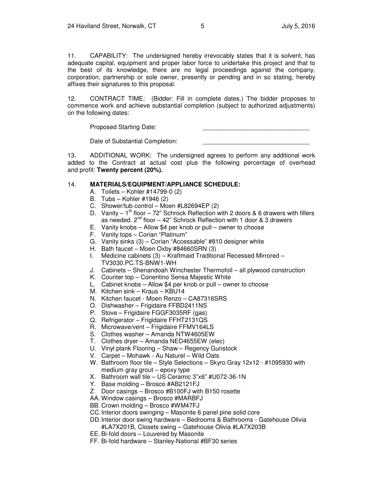11. CAPABILITY: The undersigned hereby irrevocably states that it is solvent, has adequate capital, equipment and proper labor force to undertake this project and that to the best of its knowledge, there are no legal proceedings against the company, corporation, partnership or sole owner, presently or pending and in so stating, hereby affixes their signatures to this proposal.

12. CONTRACT TIME: (Bidder: Fill in complete dates.) The bidder proposes to commence work and achieve substantial completion (subject to authorized adjustments) on the following dates:

Proposed Starting Date:

Date of Substantial Completion:

13. ADDITIONAL WORK: The undersigned agrees to perform any additional work added to the Contract at actual cost plus the following percentage of overhead and profit: **Twenty percent (20%).**

#### 14. **MATERIALS/EQUIPMENT/APPLIANCE SCHEDULE:**

- A. Toilets Kohler #14799-0 (2)
- B. Tubs Kohler #1946 (2)
- C. Shower/tub control Moen #L82694EP (2)
- D. Vanity  $-1<sup>st</sup>$  floor  $-72$ " Schrock Reflection with 2 doors & 6 drawers with fillers as needed.  $2^{nd}$  floor  $-42$ " Schrock Reflection with 1 door & 3 drawers
- E. Vanity knobs Allow \$4 per knob or pull owner to choose
- F. Vanity tops Corian "Platinum"
- G. Vanity sinks (3) Corian "Accessable" #810 designer white
- H. Bath faucet Moen Oxby #84660SRN (3)
- I. Medicine cabinets (3) Kraftmaid Traditional Recessed Mirrored TV3030.PC.TS-BNW1-WH
- J. Cabinets Shenandoah Winchester Thermofoil all plywood construction
- K. Counter top Conentino Sensa Majestic White
- L. Cabinet knobs Allow \$4 per knob or pull owner to choose
- M. Kitchen sink Kraus KBU14
- N. Kitchen faucet Moen Renzo CA87316SRS
- O. Dishwasher Frigidaire FFBD2411NS
- P. Stove Frigidaire FGGF3035RF (gas)
- Q. Refrigerator Frigidaire FFHT2131QS
- R. Microwave/vent Frigidaire FFMV164LS
- S. Clothes washer Amanda NTW4605EW
- T. Clothes dryer Amanda NED4655EW (elec)
- U. Vinyl plank Flooring Shaw Regency Gunstock
- V. Carpet Mohawk Au Naturel Wild Oats
- W. Bathroom floor tile Style Selections Skyro Gray 12x12 #1095930 with medium gray grout – epoxy type
- X. Bathroom wall tile US Ceramic 3"x6" #U072-36-1N
- Y. Base molding Brosco #AB2121FJ
- Z. Door casings Brosco #B100FJ with B150 rosette
- AA. Window casings Brosco #MARBFJ
- BB. Crown molding Brosco #WM47FJ
- CC. Interior doors swinging Masonite 6 panel pine solid core
- DD. Interior door swing hardware Bedrooms & Bathrooms Gatehouse Olivia #LA7X201B, Closets swing – Gatehouse Olivia #LA7X203B
- EE. Bi-fold doors Louvered by Masonite
- FF. Bi-fold hardware Stanley-National #BF30 series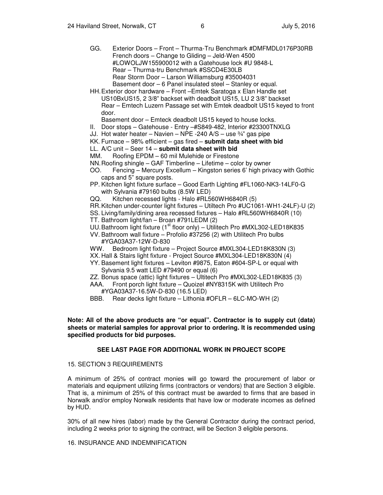- GG. Exterior Doors Front Thurma-Tru Benchmark #DMFMDL0176P30RB French doors – Change to Gliding – Jeld-Wen 4500 #LOWOLJW155900012 with a Gatehouse lock #U 9848-L Rear – Thurma-tru Benchmark #SSCD4E30LB Rear Storm Door – Larson Williamsburg #35004031 Basement door – 6 Panel insulated steel – Stanley or equal.
- HH. Exterior door hardware Front –Emtek Saratoga x Elan Handle set US10BxUS15, 2 3/8" backset with deadbolt US15, LU 2 3/8" backset Rear – Emtech Luzern Passage set with Emtek deadbolt US15 keyed to front door.
	- Basement door Emteck deadbolt US15 keyed to house locks.
- II. Door stops Gatehouse Entry –#S849-482, Interior #23300TNXLG
- JJ. Hot water heater Navien NPE -240 A/S use  $\frac{3}{4}$  gas pipe
- KK. Furnace 98% efficient gas fired **submit data sheet with bid**
- LL. A/C unit Seer 14 **submit data sheet with bid**
- MM. Roofing EPDM 60 mil Mulehide or Firestone
- NN. Roofing shingle GAF Timberline Lifetime color by owner
- OO. Fencing Mercury Excellum Kingston series 6' high privacy with Gothic caps and 5" square posts.
- PP. Kitchen light fixture surface Good Earth Lighting #FL1060-NK3-14LF0-G with Sylvania #79160 bulbs (8.5W LED)
- QQ. Kitchen recessed lights Halo #RL560WH6840R (5)
- RR. Kitchen under-counter light fixtures Utiltech Pro #UC1061-WH1-24LF)-U (2)
- SS. Living/family/dining area recessed fixtures Halo #RL560WH6840R (10)
- TT. Bathroom light/fan Broan #791LEDM (2)
- UU. Bathroom light fixture (1<sup>st</sup> floor only) Utilitech Pro #MXL302-LED18K835
- VV. Bathroom wall fixture Profolio #37256 (2) with Utilitech Pro bulbs #YGA03A37-12W-D-830
- WW. Bedroom light fixture Project Source #MXL304-LED18K830N (3)
- XX. Hall & Stairs light fixture Project Source #MXL304-LED18K830N (4)
- YY. Basement light fixtures Leviton #9875, Eaton #604-SP-L or equal with Sylvania 9.5 watt LED #79490 or equal (6)
- ZZ. Bonus space (attic) light fixtures Ultitech Pro #MXL302-LED18K835 (3)
- AAA. Front porch light fixture Quoizel #NY8315K with Utilitech Pro #YGA03A37-16.5W-D-830 (16.5 LED)
- BBB. Rear decks light fixture Lithonia #OFLR 6LC-MO-WH (2)

#### **Note: All of the above products are "or equal". Contractor is to supply cut (data) sheets or material samples for approval prior to ordering. It is recommended using specified products for bid purposes.**

#### **SEE LAST PAGE FOR ADDITIONAL WORK IN PROJECT SCOPE**

#### 15. SECTION 3 REQUIREMENTS

A minimum of 25% of contract monies will go toward the procurement of labor or materials and equipment utilizing firms (contractors or vendors) that are Section 3 eligible. That is, a minimum of 25% of this contract must be awarded to firms that are based in Norwalk and/or employ Norwalk residents that have low or moderate incomes as defined by HUD.

30% of all new hires (labor) made by the General Contractor during the contract period, including 2 weeks prior to signing the contract, will be Section 3 eligible persons.

#### 16. INSURANCE AND INDEMNIFICATION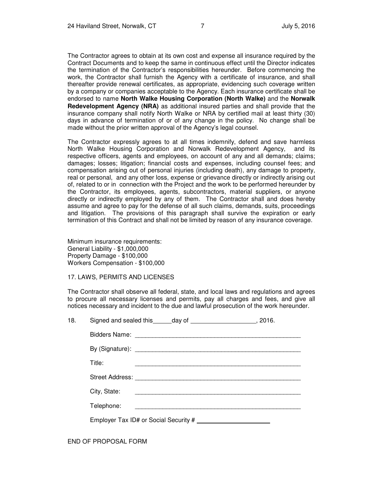The Contractor agrees to obtain at its own cost and expense all insurance required by the Contract Documents and to keep the same in continuous effect until the Director indicates the termination of the Contractor's responsibilities hereunder. Before commencing the work, the Contractor shall furnish the Agency with a certificate of insurance, and shall thereafter provide renewal certificates, as appropriate, evidencing such coverage written by a company or companies acceptable to the Agency. Each insurance certificate shall be endorsed to name **North Walke Housing Corporation (North Walke)** and the **Norwalk Redevelopment Agency (NRA)** as additional insured parties and shall provide that the insurance company shall notify North Walke or NRA by certified mail at least thirty (30) days in advance of termination of or of any change in the policy. No change shall be made without the prior written approval of the Agency's legal counsel.

The Contractor expressly agrees to at all times indemnify, defend and save harmless North Walke Housing Corporation and Norwalk Redevelopment Agency, and its respective officers, agents and employees, on account of any and all demands; claims; damages; losses; litigation; financial costs and expenses, including counsel fees; and compensation arising out of personal injuries (including death), any damage to property, real or personal, and any other loss, expense or grievance directly or indirectly arising out of, related to or in connection with the Project and the work to be performed hereunder by the Contractor, its employees, agents, subcontractors, material suppliers, or anyone directly or indirectly employed by any of them. The Contractor shall and does hereby assume and agree to pay for the defense of all such claims, demands, suits, proceedings and litigation. The provisions of this paragraph shall survive the expiration or early termination of this Contract and shall not be limited by reason of any insurance coverage.

Minimum insurance requirements: General Liability - \$1,000,000 Property Damage - \$100,000 Workers Compensation - \$100,000

#### 17. LAWS, PERMITS AND LICENSES

The Contractor shall observe all federal, state, and local laws and regulations and agrees to procure all necessary licenses and permits, pay all charges and fees, and give all notices necessary and incident to the due and lawful prosecution of the work hereunder.

| 18. | Signed and sealed this ______ day of ________________________, 2016. |  |
|-----|----------------------------------------------------------------------|--|
|     |                                                                      |  |
|     |                                                                      |  |
|     | Title:                                                               |  |
|     |                                                                      |  |
|     | City, State:                                                         |  |
|     | Telephone:                                                           |  |
|     |                                                                      |  |
|     |                                                                      |  |

END OF PROPOSAL FORM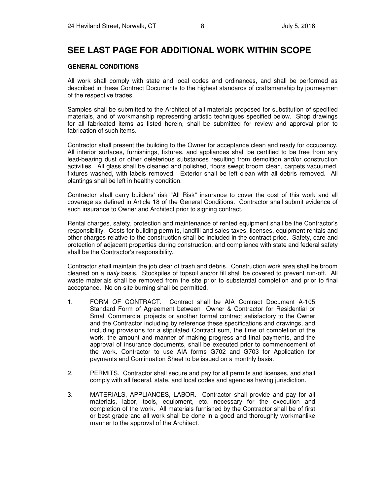## **SEE LAST PAGE FOR ADDITIONAL WORK WITHIN SCOPE**

#### **GENERAL CONDITIONS**

All work shall comply with state and local codes and ordinances, and shall be performed as described in these Contract Documents to the highest standards of craftsmanship by journeymen of the respective trades.

Samples shall be submitted to the Architect of all materials proposed for substitution of specified materials, and of workmanship representing artistic techniques specified below. Shop drawings for all fabricated items as listed herein, shall be submitted for review and approval prior to fabrication of such items.

Contractor shall present the building to the Owner for acceptance clean and ready for occupancy. All interior surfaces, furnishings, fixtures. and appliances shall be certified to be free from any lead-bearing dust or other deleterious substances resulting from demolition and/or construction activities. All glass shall be cleaned and polished, floors swept broom clean, carpets vacuumed, fixtures washed, with labels removed. Exterior shall be left clean with all debris removed. All plantings shall be left in healthy condition.

Contractor shall carry builders' risk "All Risk" insurance to cover the cost of this work and all coverage as defined in Article 18 of the General Conditions. Contractor shall submit evidence of such insurance to Owner and Architect prior to signing contract.

Rental charges, safety, protection and maintenance of rented equipment shall be the Contractor's responsibility. Costs for building permits, landfill and sales taxes, licenses, equipment rentals and other charges relative to the construction shall be included in the contract price. Safety, care and protection of adjacent properties during construction, and compliance with state and federal safety shall be the Contractor's responsibility.

Contractor shall maintain the job clear of trash and debris. Construction work area shall be broom cleaned on a *daily* basis. Stockpiles of topsoil and/or fill shall be covered to prevent run-off. All waste materials shall be removed from the site prior to substantial completion and prior to final acceptance. No on-site burning shall be permitted.

- 1. FORM OF CONTRACT. Contract shall be AIA Contract Document A-105 Standard Form of Agreement between Owner & Contractor for Residential or Small Commercial projects or another formal contract satisfactory to the Owner and the Contractor including by reference these specifications and drawings, and including provisions for a stipulated Contract sum, the time of completion of the work, the amount and manner of making progress and final payments, and the approval of insurance documents, shall be executed prior to commencement of the work. Contractor to use AIA forms G702 and G703 for Application for payments and Continuation Sheet to be issued on a monthly basis.
- 2. PERMITS. Contractor shall secure and pay for all permits and licenses, and shall comply with all federal, state, and local codes and agencies having jurisdiction.
- 3. MATERIALS, APPLIANCES, LABOR. Contractor shall provide and pay for all materials, labor, tools, equipment, etc. necessary for the execution and completion of the work. All materials furnished by the Contractor shall be of first or best grade and all work shall be done in a good and thoroughly workmanlike manner to the approval of the Architect.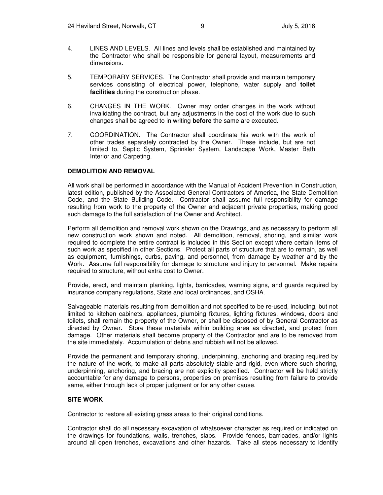- 4. LINES AND LEVELS. All lines and levels shall be established and maintained by the Contractor who shall be responsible for general layout, measurements and dimensions.
- 5. TEMPORARY SERVICES. The Contractor shall provide and maintain temporary services consisting of electrical power, telephone, water supply and **toilet facilities** during the construction phase.
- 6. CHANGES IN THE WORK. Owner may order changes in the work without invalidating the contract, but any adjustments in the cost of the work due to such changes shall be agreed to in writing **before** the same are executed.
- 7. COORDINATION. The Contractor shall coordinate his work with the work of other trades separately contracted by the Owner. These include, but are not limited to, Septic System, Sprinkler System, Landscape Work, Master Bath Interior and Carpeting.

#### **DEMOLITION AND REMOVAL**

All work shall be performed in accordance with the Manual of Accident Prevention in Construction, latest edition, published by the Associated General Contractors of America, the State Demolition Code, and the State Building Code. Contractor shall assume full responsibility for damage resulting from work to the property of the Owner and adjacent private properties, making good such damage to the full satisfaction of the Owner and Architect.

Perform all demolition and removal work shown on the Drawings, and as necessary to perform all new construction work shown and noted. All demolition, removal, shoring, and similar work required to complete the entire contract is included in this Section except where certain items of such work as specified in other Sections. Protect all parts of structure that are to remain, as well as equipment, furnishings, curbs, paving, and personnel, from damage by weather and by the Work. Assume full responsibility for damage to structure and injury to personnel. Make repairs required to structure, without extra cost to Owner.

Provide, erect, and maintain planking, lights, barricades, warning signs, and guards required by insurance company regulations, State and local ordinances, and OSHA.

Salvageable materials resulting from demolition and not specified to be re-used, including, but not limited to kitchen cabinets, appliances, plumbing fixtures, lighting fixtures, windows, doors and toilets, shall remain the property of the Owner, or shall be disposed of by General Contractor as directed by Owner. Store these materials within building area as directed, and protect from damage. Other materials shall become property of the Contractor and are to be removed from the site immediately. Accumulation of debris and rubbish will not be allowed.

Provide the permanent and temporary shoring, underpinning, anchoring and bracing required by the nature of the work, to make all parts absolutely stable and rigid, even where such shoring, underpinning, anchoring, and bracing are not explicitly specified. Contractor will be held strictly accountable for any damage to persons, properties on premises resulting from failure to provide same, either through lack of proper judgment or for any other cause.

#### **SITE WORK**

Contractor to restore all existing grass areas to their original conditions.

Contractor shall do all necessary excavation of whatsoever character as required or indicated on the drawings for foundations, walls, trenches, slabs. Provide fences, barricades, and/or lights around all open trenches, excavations and other hazards. Take all steps necessary to identify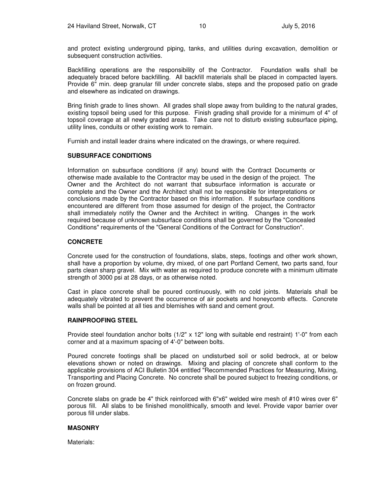and protect existing underground piping, tanks, and utilities during excavation, demolition or subsequent construction activities.

Backfilling operations are the responsibility of the Contractor. Foundation walls shall be adequately braced before backfilling. All backfill materials shall be placed in compacted layers. Provide 6" min. deep granular fill under concrete slabs, steps and the proposed patio on grade and elsewhere as indicated on drawings.

Bring finish grade to lines shown. All grades shall slope away from building to the natural grades, existing topsoil being used for this purpose. Finish grading shall provide for a minimum of 4" of topsoil coverage at all newly graded areas. Take care not to disturb existing subsurface piping, utility lines, conduits or other existing work to remain.

Furnish and install leader drains where indicated on the drawings, or where required.

#### **SUBSURFACE CONDITIONS**

Information on subsurface conditions (if any) bound with the Contract Documents or otherwise made available to the Contractor may be used in the design of the project. The Owner and the Architect do not warrant that subsurface information is accurate or complete and the Owner and the Architect shall not be responsible for interpretations or conclusions made by the Contractor based on this information. If subsurface conditions encountered are different from those assumed for design of the project, the Contractor shall immediately notify the Owner and the Architect in writing. Changes in the work required because of unknown subsurface conditions shall be governed by the "Concealed Conditions" requirements of the "General Conditions of the Contract for Construction".

#### **CONCRETE**

Concrete used for the construction of foundations, slabs, steps, footings and other work shown, shall have a proportion by volume, dry mixed, of one part Portland Cement, two parts sand, four parts clean sharp gravel. Mix with water as required to produce concrete with a minimum ultimate strength of 3000 psi at 28 days, or as otherwise noted.

Cast in place concrete shall be poured continuously, with no cold joints. Materials shall be adequately vibrated to prevent the occurrence of air pockets and honeycomb effects. Concrete walls shall be pointed at all ties and blemishes with sand and cement grout.

#### **RAINPROOFING STEEL**

Provide steel foundation anchor bolts (1/2" x 12" long with suitable end restraint) 1'-0" from each corner and at a maximum spacing of 4'-0" between bolts.

Poured concrete footings shall be placed on undisturbed soil or solid bedrock, at or below elevations shown or noted on drawings. Mixing and placing of concrete shall conform to the applicable provisions of ACI Bulletin 304 entitled "Recommended Practices for Measuring, Mixing, Transporting and Placing Concrete. No concrete shall be poured subject to freezing conditions, or on frozen ground.

Concrete slabs on grade be 4" thick reinforced with 6"x6" welded wire mesh of #10 wires over 6" porous fill. All slabs to be finished monolithically, smooth and level. Provide vapor barrier over porous fill under slabs.

#### **MASONRY**

Materials: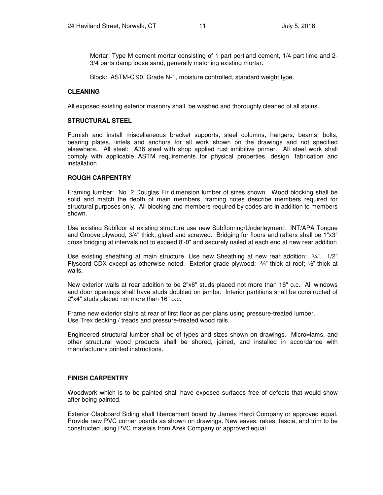Mortar: Type M cement mortar consisting of 1 part portland cement, 1/4 part lime and 2- 3/4 parts damp loose sand, generally matching existing mortar.

Block: ASTM-C 90, Grade N-1, moisture controlled, standard weight type.

#### **CLEANING**

All exposed existing exterior masonry shall, be washed and thoroughly cleaned of all stains.

#### **STRUCTURAL STEEL**

Furnish and install miscellaneous bracket supports, steel columns, hangers, beams, bolts, bearing plates, lintels and anchors for all work shown on the drawings and not specified elsewhere. All steel: A36 steel with shop applied rust inhibitive primer. All steel work shall comply with applicable ASTM requirements for physical properties, design, fabrication and installation.

#### **ROUGH CARPENTRY**

Framing lumber: No. 2 Douglas Fir dimension lumber of sizes shown. Wood blocking shall be solid and match the depth of main members, framing notes describe members required for structural purposes only. All blocking and members required by codes are in addition to members shown.

Use existing Subfloor at existing structure use new Subflooring/Underlayment: INT/APA Tongue and Groove plywood, 3/4" thick, glued and screwed. Bridging for floors and rafters shall be 1"x3" cross bridging at intervals not to exceed 8'-0" and securely nailed at each end at new rear addition

Use existing sheathing at main structure. Use new Sheathing at new rear addition: ¾". 1/2" Plyscord CDX except as otherwise noted. Exterior grade plywood:  $\frac{3}{4}$ " thick at roof;  $\frac{1}{2}$ " thick at walls.

New exterior walls at rear addition to be 2"x6" studs placed not more than 16" o.c. All windows and door openings shall have studs doubled on jambs. Interior partitions shall be constructed of 2"x4" studs placed not more than 16" o.c.

Frame new exterior stairs at rear of first floor as per plans using pressure-treated lumber. Use Trex decking / treads and pressure-treated wood rails.

Engineered structural lumber shall be of types and sizes shown on drawings. Micro=lams, and other structural wood products shall be shored, joined, and installed in accordance with manufacturers printed instructions.

#### **FINISH CARPENTRY**

Woodwork which is to be painted shall have exposed surfaces free of defects that would show after being painted.

Exterior Clapboard Siding shall fibercement board by James Hardi Company or approved equal. Provide new PVC corner boards as shown on drawings. New eaves, rakes, fascia, and trim to be constructed using PVC mateials from Azek Company or approved equal.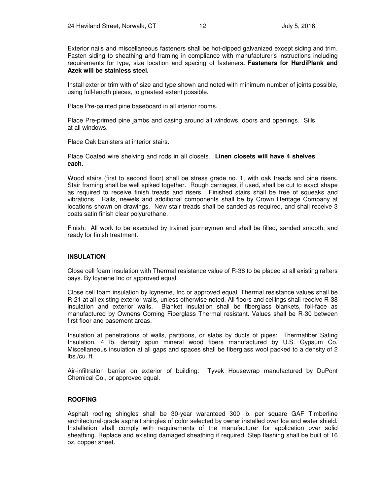Exterior nails and miscellaneous fasteners shall be hot-dipped galvanized except siding and trim. Fasten siding to sheathing and framing in compliance with manufacturer's instructions including requirements for type, size location and spacing of fasteners**. Fasteners for HardiPlank and Azek will be stainless steel.** 

Install exterior trim with of size and type shown and noted with minimum number of joints possible, using full-length pieces, to greatest extent possible.

Place Pre-painted pine baseboard in all interior rooms.

Place Pre-primed pine jambs and casing around all windows, doors and openings. Sills at all windows.

Place Oak banisters at interior stairs.

Place Coated wire shelving and rods in all closets. **Linen closets will have 4 shelves each.** 

Wood stairs (first to second floor) shall be stress grade no. 1, with oak treads and pine risers. Stair framing shall be well spiked together. Rough carriages, if used, shall be cut to exact shape as required to receive finish treads and risers. Finished stairs shall be free of squeaks and vibrations. Rails, newels and additional components shall be by Crown Heritage Company at locations shown on drawings. New stair treads shall be sanded as required, and shall receive 3 coats satin finish clear polyurethane.

Finish: All work to be executed by trained journeymen and shall be filled, sanded smooth, and ready for finish treatment.

#### **INSULATION**

Close cell foam insulation with Thermal resistance value of R-38 to be placed at all existing rafters bays. By Icynene Inc or approved equal.

Close cell foam insulation by Icyneme, Inc or approved equal. Thermal resistance values shall be R-21 at all existing exterior walls, unless otherwise noted. All floors and ceilings shall receive R-38 insulation and exterior walls. Blanket insulation shall be fiberglass blankets, foil-face as manufactured by Ownens Corning Fiberglass Thermal resistant. Values shall be R-30 between first floor and basement areas.

Insulation at penetrations of walls, partitions, or slabs by ducts of pipes: Thermafiber Safing Insulation, 4 lb. density spun mineral wood fibers manufactured by U.S. Gypsum Co. Miscellaneous insulation at all gaps and spaces shall be fiberglass wool packed to a density of 2 lbs./cu. ft.

Air-infiltration barrier on exterior of building: Tyvek Housewrap manufactured by DuPont Chemical Co., or approved equal.

#### **ROOFING**

Asphalt roofing shingles shall be 30-year waranteed 300 lb. per square GAF Timberline architectural-grade asphalt shingles of color selected by owner installed over Ice and water shield. Installation shall comply with requirements of the manufacturer for application over solid sheathing. Replace and existing damaged sheathing if required. Step flashing shall be built of 16 oz. copper sheet.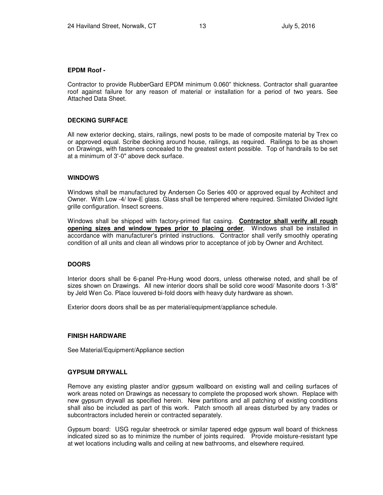#### **EPDM Roof -**

Contractor to provide RubberGard EPDM minimum 0.060" thickness. Contractor shall guarantee roof against failure for any reason of material or installation for a period of two years. See Attached Data Sheet.

#### **DECKING SURFACE**

All new exterior decking, stairs, railings, newl posts to be made of composite material by Trex co or approved equal. Scribe decking around house, railings, as required. Railings to be as shown on Drawings, with fasteners concealed to the greatest extent possible. Top of handrails to be set at a minimum of 3'-0" above deck surface.

#### **WINDOWS**

Windows shall be manufactured by Andersen Co Series 400 or approved equal by Architect and Owner. With Low -4/ low-E glass. Glass shall be tempered where required. Similated Divided light grille configuration. Insect screens.

Windows shall be shipped with factory-primed flat casing. **Contractor shall verify all rough opening sizes and window types prior to placing order**, Windows shall be installed in accordance with manufacturer's printed instructions. Contractor shall verify smoothly operating condition of all units and clean all windows prior to acceptance of job by Owner and Architect.

#### **DOORS**

Interior doors shall be 6-panel Pre-Hung wood doors, unless otherwise noted, and shall be of sizes shown on Drawings. All new interior doors shall be solid core wood/ Masonite doors 1-3/8" by Jeld Wen Co. Place louvered bi-fold doors with heavy duty hardware as shown.

Exterior doors doors shall be as per material/equipment/appliance schedule.

#### **FINISH HARDWARE**

See Material/Equipment/Appliance section

#### **GYPSUM DRYWALL**

Remove any existing plaster and/or gypsum wallboard on existing wall and ceiling surfaces of work areas noted on Drawings as necessary to complete the proposed work shown. Replace with new gypsum drywall as specified herein. New partitions and all patching of existing conditions shall also be included as part of this work. Patch smooth all areas disturbed by any trades or subcontractors included herein or contracted separately.

Gypsum board: USG regular sheetrock or similar tapered edge gypsum wall board of thickness indicated sized so as to minimize the number of joints required. Provide moisture-resistant type at wet locations including walls and ceiling at new bathrooms, and elsewhere required.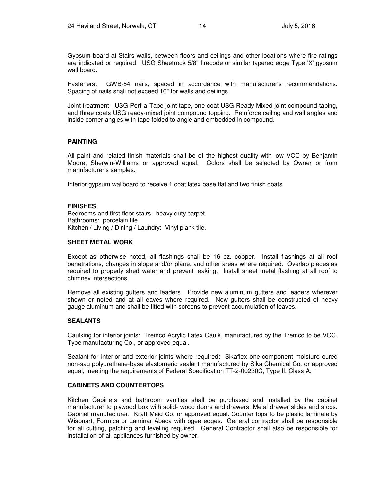Gypsum board at Stairs walls, between floors and ceilings and other locations where fire ratings are indicated or required: USG Sheetrock 5/8" firecode or similar tapered edge Type 'X' gypsum wall board.

Fasteners: GWB-54 nails, spaced in accordance with manufacturer's recommendations. Spacing of nails shall not exceed 16" for walls and ceilings.

Joint treatment: USG Perf-a-Tape joint tape, one coat USG Ready-Mixed joint compound-taping, and three coats USG ready-mixed joint compound topping. Reinforce ceiling and wall angles and inside corner angles with tape folded to angle and embedded in compound.

#### **PAINTING**

All paint and related finish materials shall be of the highest quality with low VOC by Benjamin Moore, Sherwin-Williams or approved equal. Colors shall be selected by Owner or from manufacturer's samples.

Interior gypsum wallboard to receive 1 coat latex base flat and two finish coats.

#### **FINISHES**

Bedrooms and first-floor stairs: heavy duty carpet Bathrooms: porcelain tile Kitchen / Living / Dining / Laundry: Vinyl plank tile.

#### **SHEET METAL WORK**

Except as otherwise noted, all flashings shall be 16 oz. copper. Install flashings at all roof penetrations, changes in slope and/or plane, and other areas where required. Overlap pieces as required to properly shed water and prevent leaking. Install sheet metal flashing at all roof to chimney intersections.

Remove all existing gutters and leaders. Provide new aluminum gutters and leaders wherever shown or noted and at all eaves where required. New gutters shall be constructed of heavy gauge aluminum and shall be fitted with screens to prevent accumulation of leaves.

#### **SEALANTS**

Caulking for interior joints: Tremco Acrylic Latex Caulk, manufactured by the Tremco to be VOC. Type manufacturing Co., or approved equal.

Sealant for interior and exterior joints where required: Sikaflex one-component moisture cured non-sag polyurethane-base elastomeric sealant manufactured by Sika Chemical Co. or approved equal, meeting the requirements of Federal Specification TT-2-00230C, Type II, Class A.

#### **CABINETS AND COUNTERTOPS**

Kitchen Cabinets and bathroom vanities shall be purchased and installed by the cabinet manufacturer to plywood box with solid- wood doors and drawers. Metal drawer slides and stops. Cabinet manufacturer: Kraft Maid Co. or approved equal. Counter tops to be plastic laminate by Wisonart, Formica or Laminar Abaca with ogee edges. General contractor shall be responsible for all cutting, patching and leveling required. General Contractor shall also be responsible for installation of all appliances furnished by owner.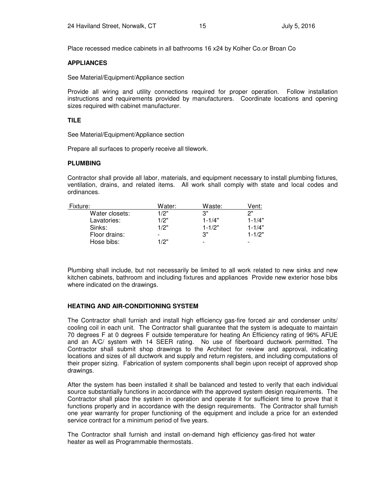Place recessed medice cabinets in all bathrooms 16 x24 by Kolher Co.or Broan Co

#### **APPLIANCES**

See Material/Equipment/Appliance section

Provide all wiring and utility connections required for proper operation. Follow installation instructions and requirements provided by manufacturers. Coordinate locations and opening sizes required with cabinet manufacturer.

#### **TILE**

See Material/Equipment/Appliance section

Prepare all surfaces to properly receive all tilework.

#### **PLUMBING**

Contractor shall provide all labor, materials, and equipment necessary to install plumbing fixtures, ventilation, drains, and related items. All work shall comply with state and local codes and ordinances.

| Fixture:       | Water:                   | Waste:                   | Vent:                    |
|----------------|--------------------------|--------------------------|--------------------------|
| Water closets: | 1/2"                     | יי צ                     | っ"                       |
| Lavatories:    | 1/2"                     | $1 - 1/4"$               | $1 - 1/4"$               |
| Sinks:         | 1/2"                     | $1 - 1/2"$               | $1 - 1/4"$               |
| Floor drains:  | $\overline{\phantom{0}}$ | 3"                       | $1 - 1/2"$               |
| Hose bibs:     | 1/2"                     | $\overline{\phantom{0}}$ | $\overline{\phantom{0}}$ |

Plumbing shall include, but not necessarily be limited to all work related to new sinks and new kitchen cabinets, bathroom and including fixtures and appliances Provide new exterior hose bibs where indicated on the drawings.

#### **HEATING AND AIR-CONDITIONING SYSTEM**

The Contractor shall furnish and install high efficiency gas-fire forced air and condenser units/ cooling coil in each unit. The Contractor shall guarantee that the system is adequate to maintain 70 degrees F at 0 degrees F outside temperature for heating An Efficiency rating of 96% AFUE and an A/C/ system with 14 SEER rating. No use of fiberboard ductwork permitted. The Contractor shall submit shop drawings to the Architect for review and approval, indicating locations and sizes of all ductwork and supply and return registers, and including computations of their proper sizing. Fabrication of system components shall begin upon receipt of approved shop drawings.

After the system has been installed it shall be balanced and tested to verify that each individual source substantially functions in accordance with the approved system design requirements. The Contractor shall place the system in operation and operate it for sufficient time to prove that it functions properly and in accordance with the design requirements. The Contractor shall furnish one year warranty for proper functioning of the equipment and include a price for an extended service contract for a minimum period of five years.

The Contractor shall furnish and install on-demand high efficiency gas-fired hot water heater as well as Programmable thermostats.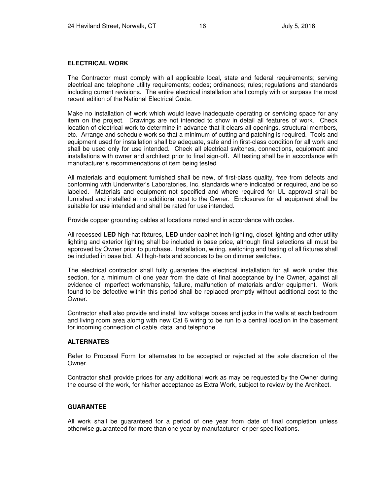#### **ELECTRICAL WORK**

The Contractor must comply with all applicable local, state and federal requirements; serving electrical and telephone utility requirements; codes; ordinances; rules; regulations and standards including current revisions. The entire electrical installation shall comply with or surpass the most recent edition of the National Electrical Code.

Make no installation of work which would leave inadequate operating or servicing space for any item on the project. Drawings are not intended to show in detail all features of work. Check location of electrical work to determine in advance that it clears all openings, structural members, etc. Arrange and schedule work so that a minimum of cutting and patching is required. Tools and equipment used for installation shall be adequate, safe and in first-class condition for all work and shall be used only for use intended. Check all electrical switches, connections, equipment and installations with owner and architect prior to final sign-off. All testing shall be in accordance with manufacturer's recommendations of item being tested.

All materials and equipment furnished shall be new, of first-class quality, free from defects and conforming with Underwriter's Laboratories, Inc. standards where indicated or required, and be so labeled. Materials and equipment not specified and where required for UL approval shall be furnished and installed at no additional cost to the Owner. Enclosures for all equipment shall be suitable for use intended and shall be rated for use intended.

Provide copper grounding cables at locations noted and in accordance with codes.

All recessed **LED** high-hat fixtures, **LED** under-cabinet inch-lighting, closet lighting and other utility lighting and exterior lighting shall be included in base price, although final selections all must be approved by Owner prior to purchase. Installation, wiring, switching and testing of all fixtures shall be included in base bid. All high-hats and sconces to be on dimmer switches.

The electrical contractor shall fully guarantee the electrical installation for all work under this section, for a minimum of one year from the date of final acceptance by the Owner, against all evidence of imperfect workmanship, failure, malfunction of materials and/or equipment. Work found to be defective within this period shall be replaced promptly without additional cost to the Owner.

Contractor shall also provide and install low voltage boxes and jacks in the walls at each bedroom and living room area alomg with new Cat 6 wiring to be run to a central location in the basement for incoming connection of cable, data and telephone.

#### **ALTERNATES**

Refer to Proposal Form for alternates to be accepted or rejected at the sole discretion of the Owner.

Contractor shall provide prices for any additional work as may be requested by the Owner during the course of the work, for his/her acceptance as Extra Work, subject to review by the Architect.

#### **GUARANTEE**

All work shall be guaranteed for a period of one year from date of final completion unless otherwise guaranteed for more than one year by manufacturer or per specifications.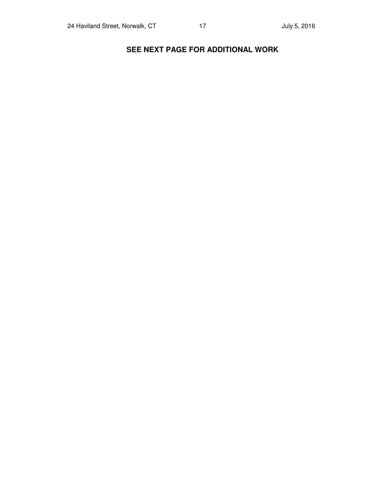## **SEE NEXT PAGE FOR ADDITIONAL WORK**